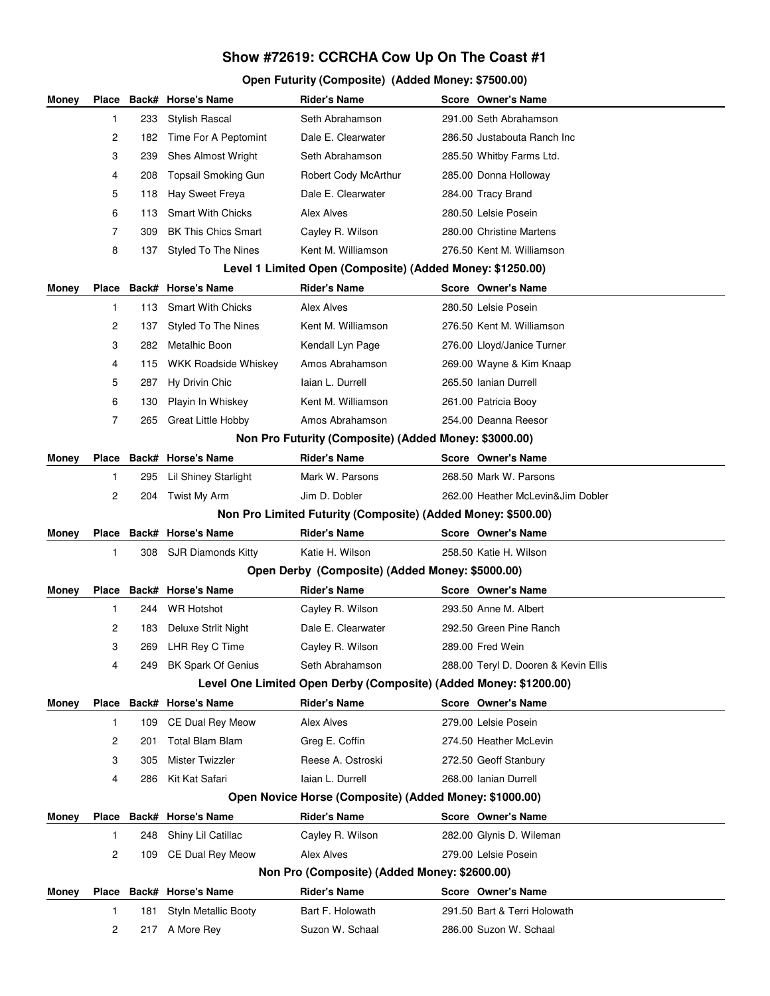## **Show #72619: CCRCHA Cow Up On The Coast #1**

## **Open Futurity (Composite) (Added Money: \$7500.00)**

| Money |                                                           |                                              | Place Back# Horse's Name   | <b>Rider's Name</b>                                               |  | Score Owner's Name                   |  |
|-------|-----------------------------------------------------------|----------------------------------------------|----------------------------|-------------------------------------------------------------------|--|--------------------------------------|--|
|       | 1                                                         | 233                                          | Stylish Rascal             | Seth Abrahamson                                                   |  | 291.00 Seth Abrahamson               |  |
|       | 2                                                         | 182                                          | Time For A Peptomint       | Dale E. Clearwater                                                |  | 286.50 Justabouta Ranch Inc          |  |
|       | 3                                                         | 239                                          | Shes Almost Wright         | Seth Abrahamson                                                   |  | 285.50 Whitby Farms Ltd.             |  |
|       | 4                                                         | 208                                          | Topsail Smoking Gun        | Robert Cody McArthur                                              |  | 285.00 Donna Holloway                |  |
|       | 5                                                         | 118                                          | Hay Sweet Freya            | Dale E. Clearwater                                                |  | 284.00 Tracy Brand                   |  |
|       | 6                                                         | 113                                          | <b>Smart With Chicks</b>   | Alex Alves                                                        |  | 280.50 Lelsie Posein                 |  |
|       | $\overline{7}$                                            | 309                                          | <b>BK This Chics Smart</b> | Cayley R. Wilson                                                  |  | 280.00 Christine Martens             |  |
|       | 8                                                         | 137                                          | <b>Styled To The Nines</b> | Kent M. Williamson                                                |  | 276.50 Kent M. Williamson            |  |
|       | Level 1 Limited Open (Composite) (Added Money: \$1250.00) |                                              |                            |                                                                   |  |                                      |  |
| Money |                                                           |                                              | Place Back# Horse's Name   | <b>Rider's Name</b>                                               |  | Score Owner's Name                   |  |
|       | $\mathbf{1}$                                              | 113                                          | <b>Smart With Chicks</b>   | Alex Alves                                                        |  | 280.50 Lelsie Posein                 |  |
|       | 2                                                         | 137                                          | <b>Styled To The Nines</b> | Kent M. Williamson                                                |  | 276.50 Kent M. Williamson            |  |
|       | 3                                                         | 282                                          | Metalhic Boon              | Kendall Lyn Page                                                  |  | 276.00 Lloyd/Janice Turner           |  |
|       | 4                                                         | 115                                          | WKK Roadside Whiskey       | Amos Abrahamson                                                   |  | 269.00 Wayne & Kim Knaap             |  |
|       | 5                                                         | 287                                          | Hy Drivin Chic             | Iaian L. Durrell                                                  |  | 265.50 Ianian Durrell                |  |
|       | 6                                                         | 130                                          | Playin In Whiskey          | Kent M. Williamson                                                |  | 261.00 Patricia Booy                 |  |
|       | 7                                                         | 265                                          | <b>Great Little Hobby</b>  | Amos Abrahamson                                                   |  | 254.00 Deanna Reesor                 |  |
|       |                                                           |                                              |                            | Non Pro Futurity (Composite) (Added Money: \$3000.00)             |  |                                      |  |
| Money |                                                           |                                              | Place Back# Horse's Name   | <b>Rider's Name</b>                                               |  | Score Owner's Name                   |  |
|       | 1                                                         | 295                                          | Lil Shiney Starlight       | Mark W. Parsons                                                   |  | 268.50 Mark W. Parsons               |  |
|       | 2                                                         | 204                                          | Twist My Arm               | Jim D. Dobler                                                     |  | 262.00 Heather McLevin&Jim Dobler    |  |
|       |                                                           |                                              |                            | Non Pro Limited Futurity (Composite) (Added Money: \$500.00)      |  |                                      |  |
| Money |                                                           |                                              | Place Back# Horse's Name   | <b>Rider's Name</b>                                               |  | Score Owner's Name                   |  |
|       | 1                                                         | 308                                          | <b>SJR Diamonds Kitty</b>  | Katie H. Wilson                                                   |  | 258.50 Katie H. Wilson               |  |
|       |                                                           |                                              |                            | Open Derby (Composite) (Added Money: \$5000.00)                   |  |                                      |  |
| Money |                                                           |                                              | Place Back# Horse's Name   | <b>Rider's Name</b>                                               |  | Score Owner's Name                   |  |
|       | 1                                                         | 244.                                         | <b>WR Hotshot</b>          | Cayley R. Wilson                                                  |  | 293.50 Anne M. Albert                |  |
|       | 2                                                         | 183                                          | Deluxe Strlit Night        | Dale E. Clearwater                                                |  | 292.50 Green Pine Ranch              |  |
|       | 3                                                         | 269                                          | LHR Rey C Time             | Cayley R. Wilson                                                  |  | 289.00 Fred Wein                     |  |
|       | 4                                                         | 249                                          | <b>BK Spark Of Genius</b>  | Seth Abrahamson                                                   |  | 288.00 Teryl D. Dooren & Kevin Ellis |  |
|       |                                                           |                                              |                            | Level One Limited Open Derby (Composite) (Added Money: \$1200.00) |  |                                      |  |
| Money |                                                           |                                              | Place Back# Horse's Name   | <b>Rider's Name</b>                                               |  | Score Owner's Name                   |  |
|       | 1                                                         | 109                                          | <b>CE Dual Rey Meow</b>    | Alex Alves                                                        |  | 279.00 Lelsie Posein                 |  |
|       | 2                                                         | 201                                          | <b>Total Blam Blam</b>     | Greg E. Coffin                                                    |  | 274.50 Heather McLevin               |  |
|       | 3                                                         | 305                                          | Mister Twizzler            | Reese A. Ostroski                                                 |  | 272.50 Geoff Stanbury                |  |
|       | 4                                                         | 286                                          | Kit Kat Safari             | laian L. Durrell                                                  |  | 268.00 Ianian Durrell                |  |
|       |                                                           |                                              |                            | Open Novice Horse (Composite) (Added Money: \$1000.00)            |  |                                      |  |
| Money |                                                           |                                              | Place Back# Horse's Name   | <b>Rider's Name</b>                                               |  | Score Owner's Name                   |  |
|       | 1                                                         | 248                                          | Shiny Lil Catillac         | Cayley R. Wilson                                                  |  | 282.00 Glynis D. Wileman             |  |
|       | 2                                                         | 109                                          | <b>CE Dual Rey Meow</b>    | Alex Alves                                                        |  | 279.00 Lelsie Posein                 |  |
|       |                                                           | Non Pro (Composite) (Added Money: \$2600.00) |                            |                                                                   |  |                                      |  |
| Money |                                                           |                                              | Place Back# Horse's Name   | <b>Rider's Name</b>                                               |  | Score Owner's Name                   |  |
|       | 1                                                         | 181                                          | Styln Metallic Booty       | Bart F. Holowath                                                  |  | 291.50 Bart & Terri Holowath         |  |
|       | 2                                                         | 217                                          | A More Rey                 | Suzon W. Schaal                                                   |  | 286.00 Suzon W. Schaal               |  |